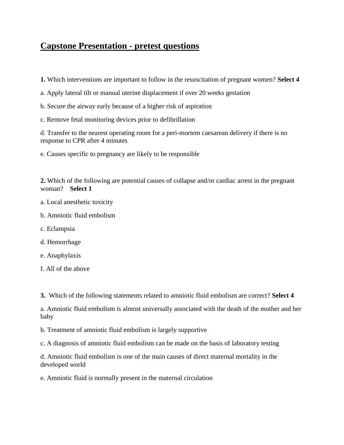## **Capstone Presentation - pretest questions**

**1.** Which interventions are important to follow in the resuscitation of pregnant women? **Select 4**

a. Apply lateral tilt or manual uterine displacement if over 20 weeks gestation

- b. Secure the airway early because of a higher risk of aspiration
- c. Remove fetal monitoring devices prior to defibrillation

d. Transfer to the nearest operating room for a peri-mortem caesarean delivery if there is no response to CPR after 4 minutes

e. Causes specific to pregnancy are likely to be responsible

**2.** Which of the following are potential causes of collapse and/or cardiac arrest in the pregnant woman? **Select 1**

- a. Local anesthetic toxicity
- b. Amniotic fluid embolism
- c. Eclampsia
- d. Hemorrhage
- e. Anaphylaxis
- f. All of the above

**3.** Which of the following statements related to amniotic fluid embolism are correct? **Select 4**

a. Amniotic fluid embolism is almost universally associated with the death of the mother and her baby

b. Treatment of amniotic fluid embolism is largely supportive

c. A diagnosis of amniotic fluid embolism can be made on the basis of laboratory testing

d. Amniotic fluid embolism is one of the main causes of direct maternal mortality in the developed world

e. Amniotic fluid is normally present in the maternal circulation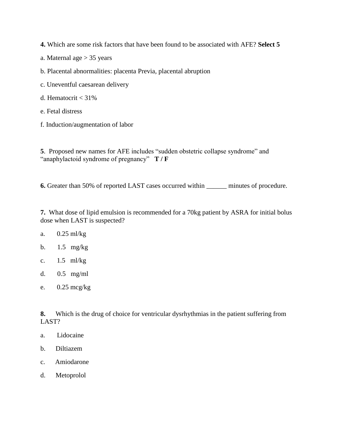**4.** Which are some risk factors that have been found to be associated with AFE? **Select 5**

- a. Maternal age > 35 years
- b. Placental abnormalities: placenta Previa, placental abruption
- c. Uneventful caesarean delivery
- d. Hematocrit  $<$  31%
- e. Fetal distress
- f. Induction/augmentation of labor

**5**. Proposed new names for AFE includes "sudden obstetric collapse syndrome" and "anaphylactoid syndrome of pregnancy" **T / F**

**6.** Greater than 50% of reported LAST cases occurred within \_\_\_\_\_\_ minutes of procedure.

**7.** What dose of lipid emulsion is recommended for a 70kg patient by ASRA for initial bolus dose when LAST is suspected?

- a. 0.25 ml/kg
- b. 1.5 mg/kg
- c. 1.5 ml/kg
- d. 0.5 mg/ml
- e. 0.25 mcg/kg

**8.** Which is the drug of choice for ventricular dysrhythmias in the patient suffering from LAST?

- a. Lidocaine
- b. Diltiazem
- c. Amiodarone
- d. Metoprolol